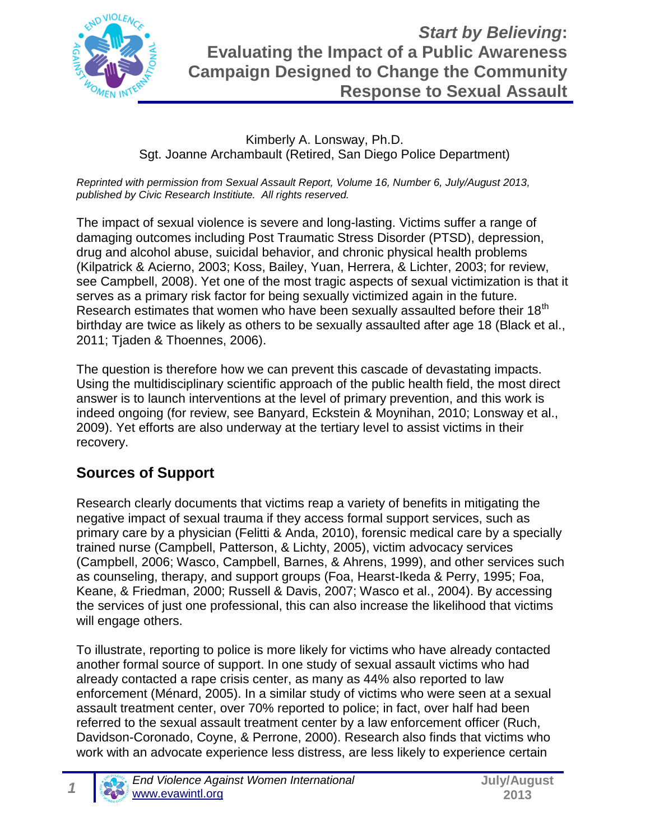

#### Kimberly A. Lonsway, Ph.D. Sgt. Joanne Archambault (Retired, San Diego Police Department)

*Reprinted with permission from Sexual Assault Report, Volume 16, Number 6, July/August 2013, published by Civic Research Institiute. All rights reserved.*

The impact of sexual violence is severe and long-lasting. Victims suffer a range of damaging outcomes including Post Traumatic Stress Disorder (PTSD), depression, drug and alcohol abuse, suicidal behavior, and chronic physical health problems (Kilpatrick & Acierno, 2003; Koss, Bailey, Yuan, Herrera, & Lichter, 2003; for review, see Campbell, 2008). Yet one of the most tragic aspects of sexual victimization is that it serves as a primary risk factor for being sexually victimized again in the future. Research estimates that women who have been sexually assaulted before their 18<sup>th</sup> birthday are twice as likely as others to be sexually assaulted after age 18 (Black et al., 2011; Tjaden & Thoennes, 2006).

The question is therefore how we can prevent this cascade of devastating impacts. Using the multidisciplinary scientific approach of the public health field, the most direct answer is to launch interventions at the level of primary prevention, and this work is indeed ongoing (for review, see Banyard, Eckstein & Moynihan, 2010; Lonsway et al., 2009). Yet efforts are also underway at the tertiary level to assist victims in their recovery.

#### **Sources of Support**

Research clearly documents that victims reap a variety of benefits in mitigating the negative impact of sexual trauma if they access formal support services, such as primary care by a physician (Felitti & Anda, 2010), forensic medical care by a specially trained nurse (Campbell, Patterson, & Lichty, 2005), victim advocacy services (Campbell, 2006; Wasco, Campbell, Barnes, & Ahrens, 1999), and other services such as counseling, therapy, and support groups (Foa, Hearst-Ikeda & Perry, 1995; Foa, Keane, & Friedman, 2000; Russell & Davis, 2007; Wasco et al., 2004). By accessing the services of just one professional, this can also increase the likelihood that victims will engage others.

To illustrate, reporting to police is more likely for victims who have already contacted another formal source of support. In one study of sexual assault victims who had already contacted a rape crisis center, as many as 44% also reported to law enforcement (Ménard, 2005). In a similar study of victims who were seen at a sexual assault treatment center, over 70% reported to police; in fact, over half had been referred to the sexual assault treatment center by a law enforcement officer (Ruch, Davidson-Coronado, Coyne, & Perrone, 2000). Research also finds that victims who work with an advocate experience less distress, are less likely to experience certain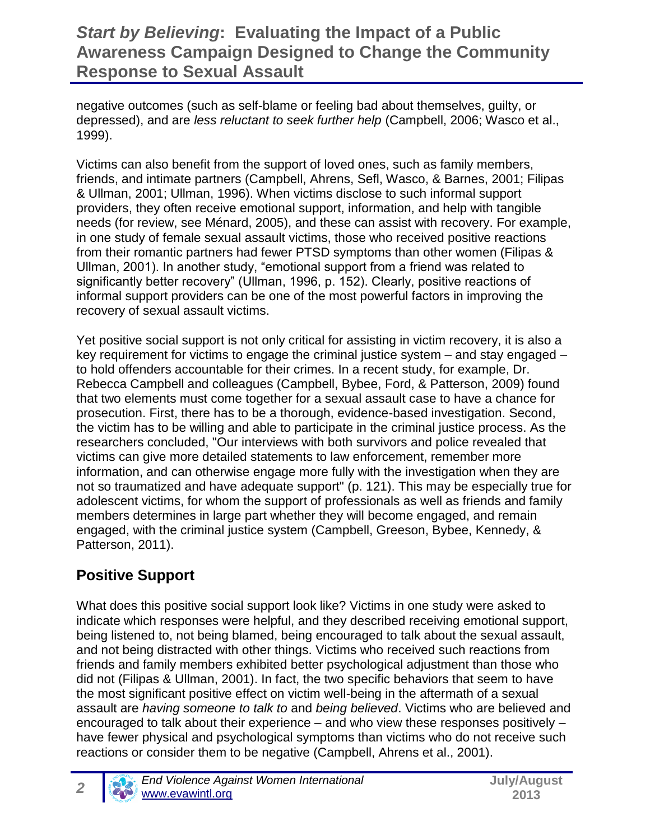negative outcomes (such as self-blame or feeling bad about themselves, guilty, or depressed), and are *less reluctant to seek further help* (Campbell, 2006; Wasco et al., 1999).

Victims can also benefit from the support of loved ones, such as family members, friends, and intimate partners (Campbell, Ahrens, Sefl, Wasco, & Barnes, 2001; Filipas & Ullman, 2001; Ullman, 1996). When victims disclose to such informal support providers, they often receive emotional support, information, and help with tangible needs (for review, see Ménard, 2005), and these can assist with recovery. For example, in one study of female sexual assault victims, those who received positive reactions from their romantic partners had fewer PTSD symptoms than other women (Filipas & Ullman, 2001). In another study, "emotional support from a friend was related to significantly better recovery" (Ullman, 1996, p. 152). Clearly, positive reactions of informal support providers can be one of the most powerful factors in improving the recovery of sexual assault victims.

Yet positive social support is not only critical for assisting in victim recovery, it is also a key requirement for victims to engage the criminal justice system – and stay engaged – to hold offenders accountable for their crimes. In a recent study, for example, Dr. Rebecca Campbell and colleagues (Campbell, Bybee, Ford, & Patterson, 2009) found that two elements must come together for a sexual assault case to have a chance for prosecution. First, there has to be a thorough, evidence-based investigation. Second, the victim has to be willing and able to participate in the criminal justice process. As the researchers concluded, "Our interviews with both survivors and police revealed that victims can give more detailed statements to law enforcement, remember more information, and can otherwise engage more fully with the investigation when they are not so traumatized and have adequate support" (p. 121). This may be especially true for adolescent victims, for whom the support of professionals as well as friends and family members determines in large part whether they will become engaged, and remain engaged, with the criminal justice system (Campbell, Greeson, Bybee, Kennedy, & Patterson, 2011).

## **Positive Support**

What does this positive social support look like? Victims in one study were asked to indicate which responses were helpful, and they described receiving emotional support, being listened to, not being blamed, being encouraged to talk about the sexual assault, and not being distracted with other things. Victims who received such reactions from friends and family members exhibited better psychological adjustment than those who did not (Filipas & Ullman, 2001). In fact, the two specific behaviors that seem to have the most significant positive effect on victim well-being in the aftermath of a sexual assault are *having someone to talk to* and *being believed*. Victims who are believed and encouraged to talk about their experience – and who view these responses positively – have fewer physical and psychological symptoms than victims who do not receive such reactions or consider them to be negative (Campbell, Ahrens et al., 2001).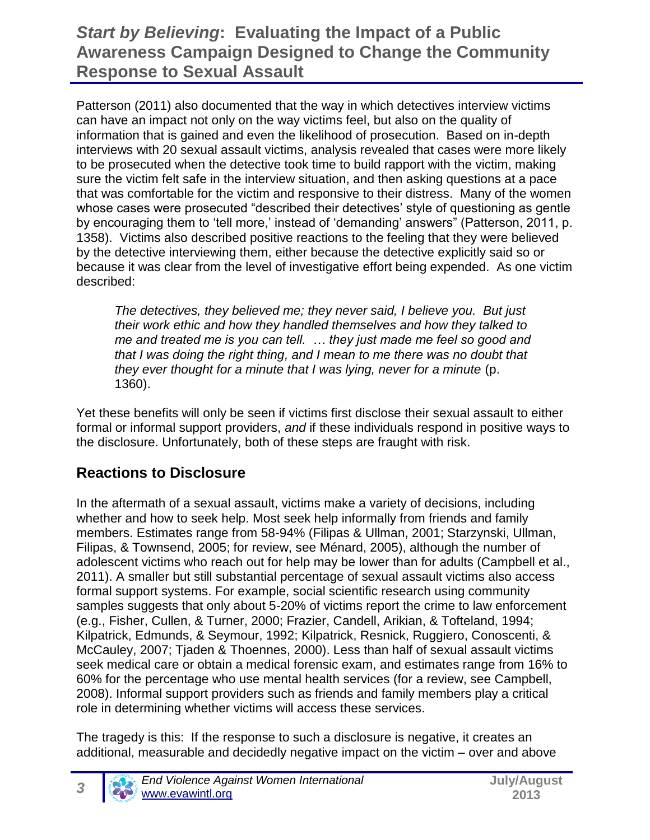Patterson (2011) also documented that the way in which detectives interview victims can have an impact not only on the way victims feel, but also on the quality of information that is gained and even the likelihood of prosecution. Based on in-depth interviews with 20 sexual assault victims, analysis revealed that cases were more likely to be prosecuted when the detective took time to build rapport with the victim, making sure the victim felt safe in the interview situation, and then asking questions at a pace that was comfortable for the victim and responsive to their distress. Many of the women whose cases were prosecuted "described their detectives' style of questioning as gentle by encouraging them to 'tell more,' instead of 'demanding' answers" (Patterson, 2011, p. 1358). Victims also described positive reactions to the feeling that they were believed by the detective interviewing them, either because the detective explicitly said so or because it was clear from the level of investigative effort being expended. As one victim described:

*The detectives, they believed me; they never said, I believe you. But just their work ethic and how they handled themselves and how they talked to me and treated me is you can tell. … they just made me feel so good and that I was doing the right thing, and I mean to me there was no doubt that they ever thought for a minute that I was lying, never for a minute* (p. 1360).

Yet these benefits will only be seen if victims first disclose their sexual assault to either formal or informal support providers, *and* if these individuals respond in positive ways to the disclosure. Unfortunately, both of these steps are fraught with risk.

### **Reactions to Disclosure**

*3*

In the aftermath of a sexual assault, victims make a variety of decisions, including whether and how to seek help. Most seek help informally from friends and family members. Estimates range from 58-94% (Filipas & Ullman, 2001; Starzynski, Ullman, Filipas, & Townsend, 2005; for review, see Ménard, 2005), although the number of adolescent victims who reach out for help may be lower than for adults (Campbell et al., 2011). A smaller but still substantial percentage of sexual assault victims also access formal support systems. For example, social scientific research using community samples suggests that only about 5-20% of victims report the crime to law enforcement (e.g., Fisher, Cullen, & Turner, 2000; Frazier, Candell, Arikian, & Tofteland, 1994; Kilpatrick, Edmunds, & Seymour, 1992; Kilpatrick, Resnick, Ruggiero, Conoscenti, & McCauley, 2007; Tjaden & Thoennes, 2000). Less than half of sexual assault victims seek medical care or obtain a medical forensic exam, and estimates range from 16% to 60% for the percentage who use mental health services (for a review, see Campbell, 2008). Informal support providers such as friends and family members play a critical role in determining whether victims will access these services.

The tragedy is this: If the response to such a disclosure is negative, it creates an additional, measurable and decidedly negative impact on the victim – over and above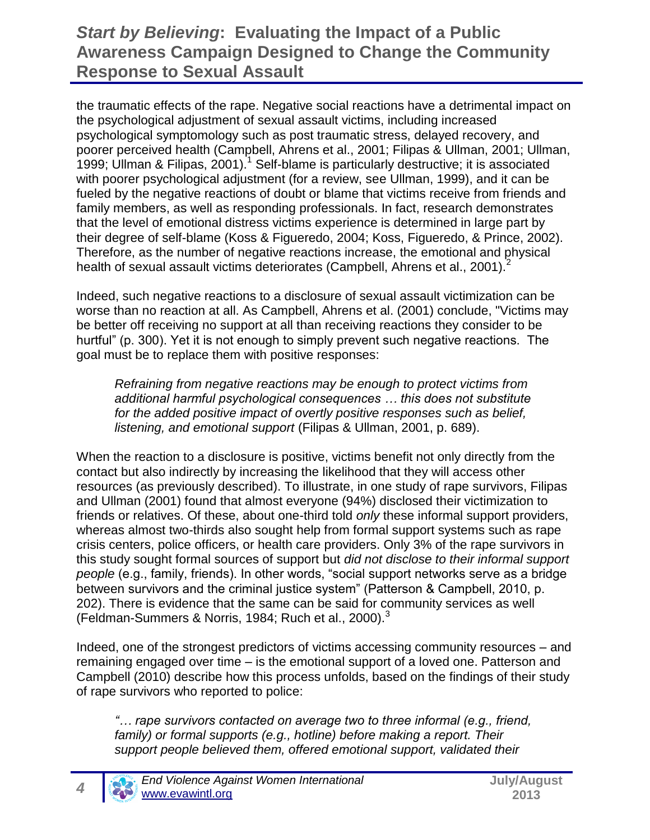the traumatic effects of the rape. Negative social reactions have a detrimental impact on the psychological adjustment of sexual assault victims, including increased psychological symptomology such as post traumatic stress, delayed recovery, and poorer perceived health (Campbell, Ahrens et al., 2001; Filipas & Ullman, 2001; Ullman, 1999; Ullman & Filipas, 2001).<sup>1</sup> Self-blame is particularly destructive; it is associated with poorer psychological adjustment (for a review, see Ullman, 1999), and it can be fueled by the negative reactions of doubt or blame that victims receive from friends and family members, as well as responding professionals. In fact, research demonstrates that the level of emotional distress victims experience is determined in large part by their degree of self-blame (Koss & Figueredo, 2004; Koss, Figueredo, & Prince, 2002). Therefore, as the number of negative reactions increase, the emotional and physical health of sexual assault victims deteriorates (Campbell, Ahrens et al., 2001).<sup>2</sup>

Indeed, such negative reactions to a disclosure of sexual assault victimization can be worse than no reaction at all. As Campbell, Ahrens et al. (2001) conclude, "Victims may be better off receiving no support at all than receiving reactions they consider to be hurtful" (p. 300). Yet it is not enough to simply prevent such negative reactions. The goal must be to replace them with positive responses:

*Refraining from negative reactions may be enough to protect victims from additional harmful psychological consequences … this does not substitute for the added positive impact of overtly positive responses such as belief, listening, and emotional support* (Filipas & Ullman, 2001, p. 689).

When the reaction to a disclosure is positive, victims benefit not only directly from the contact but also indirectly by increasing the likelihood that they will access other resources (as previously described). To illustrate, in one study of rape survivors, Filipas and Ullman (2001) found that almost everyone (94%) disclosed their victimization to friends or relatives. Of these, about one-third told *only* these informal support providers, whereas almost two-thirds also sought help from formal support systems such as rape crisis centers, police officers, or health care providers. Only 3% of the rape survivors in this study sought formal sources of support but *did not disclose to their informal support people* (e.g., family, friends). In other words, "social support networks serve as a bridge between survivors and the criminal justice system" (Patterson & Campbell, 2010, p. 202). There is evidence that the same can be said for community services as well (Feldman-Summers & Norris, 1984; Ruch et al., 2000). $3$ 

Indeed, one of the strongest predictors of victims accessing community resources – and remaining engaged over time – is the emotional support of a loved one. Patterson and Campbell (2010) describe how this process unfolds, based on the findings of their study of rape survivors who reported to police:

*"… rape survivors contacted on average two to three informal (e.g., friend, family) or formal supports (e.g., hotline) before making a report. Their support people believed them, offered emotional support, validated their*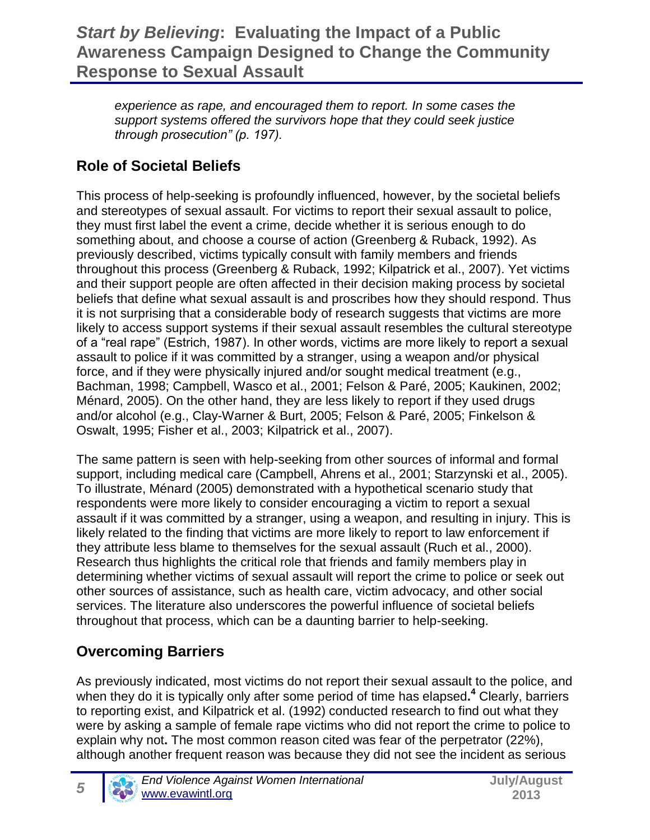*experience as rape, and encouraged them to report. In some cases the support systems offered the survivors hope that they could seek justice through prosecution" (p. 197).*

# **Role of Societal Beliefs**

This process of help-seeking is profoundly influenced, however, by the societal beliefs and stereotypes of sexual assault. For victims to report their sexual assault to police, they must first label the event a crime, decide whether it is serious enough to do something about, and choose a course of action (Greenberg & Ruback, 1992). As previously described, victims typically consult with family members and friends throughout this process (Greenberg & Ruback, 1992; Kilpatrick et al., 2007). Yet victims and their support people are often affected in their decision making process by societal beliefs that define what sexual assault is and proscribes how they should respond. Thus it is not surprising that a considerable body of research suggests that victims are more likely to access support systems if their sexual assault resembles the cultural stereotype of a "real rape" (Estrich, 1987). In other words, victims are more likely to report a sexual assault to police if it was committed by a stranger, using a weapon and/or physical force, and if they were physically injured and/or sought medical treatment (e.g., Bachman, 1998; Campbell, Wasco et al., 2001; Felson & Paré, 2005; Kaukinen, 2002; Ménard, 2005). On the other hand, they are less likely to report if they used drugs and/or alcohol (e.g., Clay-Warner & Burt, 2005; Felson & Paré, 2005; Finkelson & Oswalt, 1995; Fisher et al., 2003; Kilpatrick et al., 2007).

The same pattern is seen with help-seeking from other sources of informal and formal support, including medical care (Campbell, Ahrens et al., 2001; Starzynski et al., 2005). To illustrate, Ménard (2005) demonstrated with a hypothetical scenario study that respondents were more likely to consider encouraging a victim to report a sexual assault if it was committed by a stranger, using a weapon, and resulting in injury. This is likely related to the finding that victims are more likely to report to law enforcement if they attribute less blame to themselves for the sexual assault (Ruch et al., 2000). Research thus highlights the critical role that friends and family members play in determining whether victims of sexual assault will report the crime to police or seek out other sources of assistance, such as health care, victim advocacy, and other social services. The literature also underscores the powerful influence of societal beliefs throughout that process, which can be a daunting barrier to help-seeking.

## **Overcoming Barriers**

As previously indicated, most victims do not report their sexual assault to the police, and when they do it is typically only after some period of time has elapsed**. <sup>4</sup>** Clearly, barriers to reporting exist, and Kilpatrick et al. (1992) conducted research to find out what they were by asking a sample of female rape victims who did not report the crime to police to explain why not**.** The most common reason cited was fear of the perpetrator (22%), although another frequent reason was because they did not see the incident as serious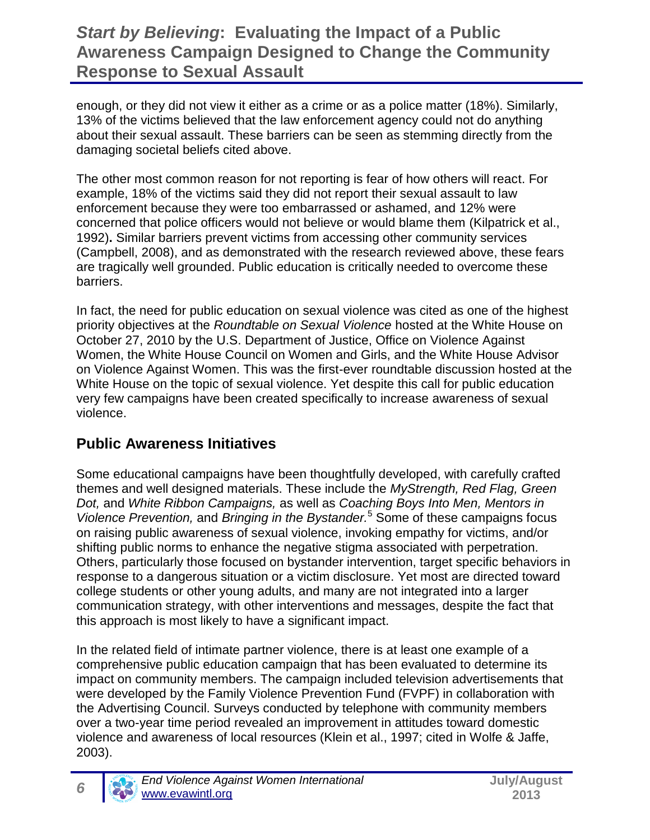enough, or they did not view it either as a crime or as a police matter (18%). Similarly, 13% of the victims believed that the law enforcement agency could not do anything about their sexual assault. These barriers can be seen as stemming directly from the damaging societal beliefs cited above.

The other most common reason for not reporting is fear of how others will react. For example, 18% of the victims said they did not report their sexual assault to law enforcement because they were too embarrassed or ashamed, and 12% were concerned that police officers would not believe or would blame them (Kilpatrick et al., 1992)**.** Similar barriers prevent victims from accessing other community services (Campbell, 2008), and as demonstrated with the research reviewed above, these fears are tragically well grounded. Public education is critically needed to overcome these barriers.

In fact, the need for public education on sexual violence was cited as one of the highest priority objectives at the *Roundtable on Sexual Violence* hosted at the White House on October 27, 2010 by the U.S. Department of Justice, Office on Violence Against Women, the White House Council on Women and Girls, and the White House Advisor on Violence Against Women. This was the first-ever roundtable discussion hosted at the White House on the topic of sexual violence. Yet despite this call for public education very few campaigns have been created specifically to increase awareness of sexual violence.

#### **Public Awareness Initiatives**

Some educational campaigns have been thoughtfully developed, with carefully crafted themes and well designed materials. These include the *MyStrength, Red Flag, Green Dot,* and *White Ribbon Campaigns,* as well as *Coaching Boys Into Men, Mentors in Violence Prevention,* and *Bringing in the Bystander.*<sup>5</sup> Some of these campaigns focus on raising public awareness of sexual violence, invoking empathy for victims, and/or shifting public norms to enhance the negative stigma associated with perpetration. Others, particularly those focused on bystander intervention, target specific behaviors in response to a dangerous situation or a victim disclosure. Yet most are directed toward college students or other young adults, and many are not integrated into a larger communication strategy, with other interventions and messages, despite the fact that this approach is most likely to have a significant impact.

In the related field of intimate partner violence, there is at least one example of a comprehensive public education campaign that has been evaluated to determine its impact on community members. The campaign included television advertisements that were developed by the Family Violence Prevention Fund (FVPF) in collaboration with the Advertising Council. Surveys conducted by telephone with community members over a two-year time period revealed an improvement in attitudes toward domestic violence and awareness of local resources (Klein et al., 1997; cited in Wolfe & Jaffe, 2003).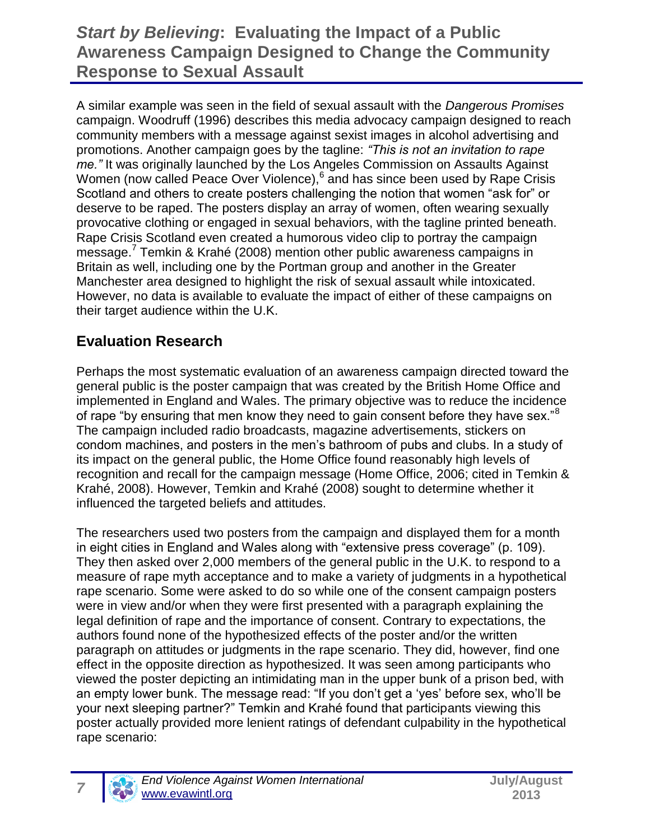A similar example was seen in the field of sexual assault with the *Dangerous Promises* campaign. Woodruff (1996) describes this media advocacy campaign designed to reach community members with a message against sexist images in alcohol advertising and promotions. Another campaign goes by the tagline: *"This is not an invitation to rape me."* It was originally launched by the Los Angeles Commission on Assaults Against Women (now called Peace Over Violence), <sup>6</sup> and has since been used by Rape Crisis Scotland and others to create posters challenging the notion that women "ask for" or deserve to be raped. The posters display an array of women, often wearing sexually provocative clothing or engaged in sexual behaviors, with the tagline printed beneath. Rape Crisis Scotland even created a humorous video clip to portray the campaign message.<sup>7</sup> Temkin & Krahé (2008) mention other public awareness campaigns in Britain as well, including one by the Portman group and another in the Greater Manchester area designed to highlight the risk of sexual assault while intoxicated. However, no data is available to evaluate the impact of either of these campaigns on their target audience within the U.K.

#### **Evaluation Research**

Perhaps the most systematic evaluation of an awareness campaign directed toward the general public is the poster campaign that was created by the British Home Office and implemented in England and Wales. The primary objective was to reduce the incidence of rape "by ensuring that men know they need to gain consent before they have sex."<sup>8</sup> The campaign included radio broadcasts, magazine advertisements, stickers on condom machines, and posters in the men's bathroom of pubs and clubs. In a study of its impact on the general public, the Home Office found reasonably high levels of recognition and recall for the campaign message (Home Office, 2006; cited in Temkin & Krahé, 2008). However, Temkin and Krahé (2008) sought to determine whether it influenced the targeted beliefs and attitudes.

The researchers used two posters from the campaign and displayed them for a month in eight cities in England and Wales along with "extensive press coverage" (p. 109). They then asked over 2,000 members of the general public in the U.K. to respond to a measure of rape myth acceptance and to make a variety of judgments in a hypothetical rape scenario. Some were asked to do so while one of the consent campaign posters were in view and/or when they were first presented with a paragraph explaining the legal definition of rape and the importance of consent. Contrary to expectations, the authors found none of the hypothesized effects of the poster and/or the written paragraph on attitudes or judgments in the rape scenario. They did, however, find one effect in the opposite direction as hypothesized. It was seen among participants who viewed the poster depicting an intimidating man in the upper bunk of a prison bed, with an empty lower bunk. The message read: "If you don't get a 'yes' before sex, who'll be your next sleeping partner?" Temkin and Krahé found that participants viewing this poster actually provided more lenient ratings of defendant culpability in the hypothetical rape scenario: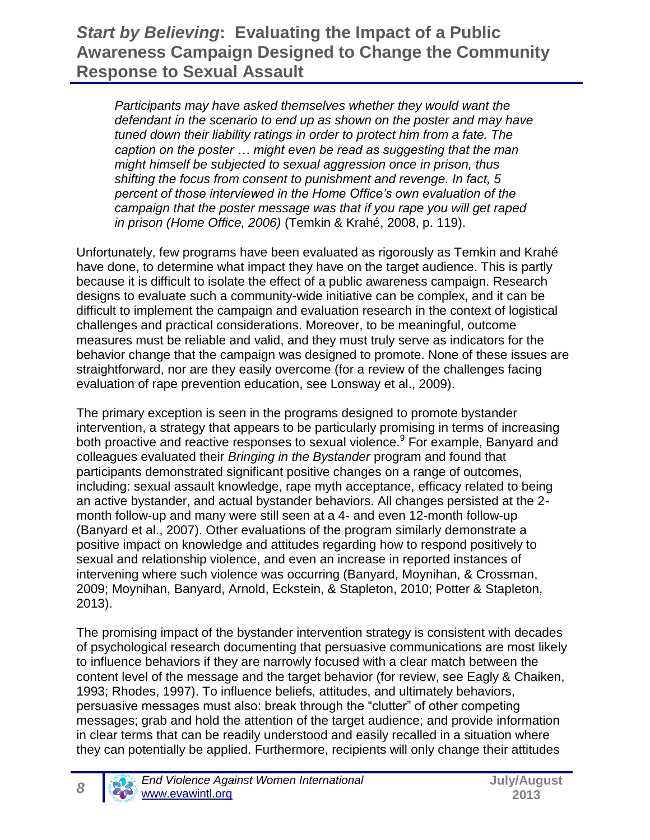*Participants may have asked themselves whether they would want the defendant in the scenario to end up as shown on the poster and may have tuned down their liability ratings in order to protect him from a fate. The caption on the poster … might even be read as suggesting that the man might himself be subjected to sexual aggression once in prison, thus shifting the focus from consent to punishment and revenge. In fact, 5 percent of those interviewed in the Home Office's own evaluation of the campaign that the poster message was that if you rape you will get raped in prison (Home Office, 2006)* (Temkin & Krahé, 2008, p. 119).

Unfortunately, few programs have been evaluated as rigorously as Temkin and Krahé have done, to determine what impact they have on the target audience. This is partly because it is difficult to isolate the effect of a public awareness campaign. Research designs to evaluate such a community-wide initiative can be complex, and it can be difficult to implement the campaign and evaluation research in the context of logistical challenges and practical considerations. Moreover, to be meaningful, outcome measures must be reliable and valid, and they must truly serve as indicators for the behavior change that the campaign was designed to promote. None of these issues are straightforward, nor are they easily overcome (for a review of the challenges facing evaluation of rape prevention education, see Lonsway et al., 2009).

The primary exception is seen in the programs designed to promote bystander intervention, a strategy that appears to be particularly promising in terms of increasing both proactive and reactive responses to sexual violence.<sup>9</sup> For example, Banyard and colleagues evaluated their *Bringing in the Bystander* program and found that participants demonstrated significant positive changes on a range of outcomes, including: sexual assault knowledge, rape myth acceptance, efficacy related to being an active bystander, and actual bystander behaviors. All changes persisted at the 2 month follow-up and many were still seen at a 4- and even 12-month follow-up (Banyard et al., 2007). Other evaluations of the program similarly demonstrate a positive impact on knowledge and attitudes regarding how to respond positively to sexual and relationship violence, and even an increase in reported instances of intervening where such violence was occurring (Banyard, Moynihan, & Crossman, 2009; Moynihan, Banyard, Arnold, Eckstein, & Stapleton, 2010; Potter & Stapleton, 2013).

The promising impact of the bystander intervention strategy is consistent with decades of psychological research documenting that persuasive communications are most likely to influence behaviors if they are narrowly focused with a clear match between the content level of the message and the target behavior (for review, see Eagly & Chaiken, 1993; Rhodes, 1997). To influence beliefs, attitudes, and ultimately behaviors, persuasive messages must also: break through the "clutter" of other competing messages; grab and hold the attention of the target audience; and provide information in clear terms that can be readily understood and easily recalled in a situation where they can potentially be applied. Furthermore, recipients will only change their attitudes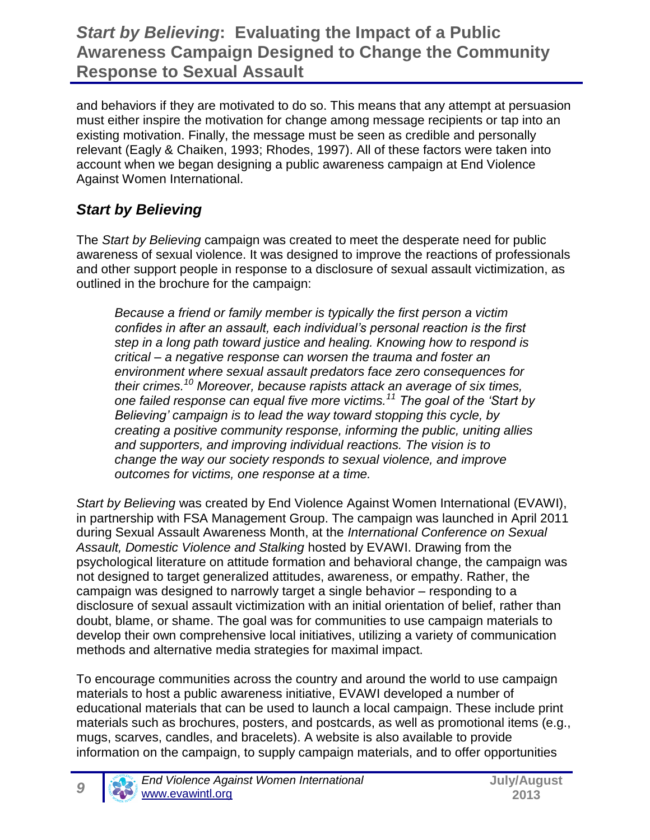and behaviors if they are motivated to do so. This means that any attempt at persuasion must either inspire the motivation for change among message recipients or tap into an existing motivation. Finally, the message must be seen as credible and personally relevant (Eagly & Chaiken, 1993; Rhodes, 1997). All of these factors were taken into account when we began designing a public awareness campaign at End Violence Against Women International.

## *Start by Believing*

The *Start by Believing* campaign was created to meet the desperate need for public awareness of sexual violence. It was designed to improve the reactions of professionals and other support people in response to a disclosure of sexual assault victimization, as outlined in the brochure for the campaign:

*Because a friend or family member is typically the first person a victim confides in after an assault, each individual's personal reaction is the first step in a long path toward justice and healing. Knowing how to respond is critical – a negative response can worsen the trauma and foster an environment where sexual assault predators face zero consequences for their crimes.<sup>10</sup> Moreover, because rapists attack an average of six times, one failed response can equal five more victims.<sup>11</sup> The goal of the 'Start by Believing' campaign is to lead the way toward stopping this cycle, by creating a positive community response, informing the public, uniting allies and supporters, and improving individual reactions. The vision is to change the way our society responds to sexual violence, and improve outcomes for victims, one response at a time.*

*Start by Believing* was created by End Violence Against Women International (EVAWI), in partnership with FSA Management Group. The campaign was launched in April 2011 during Sexual Assault Awareness Month, at the *International Conference on Sexual Assault, Domestic Violence and Stalking* hosted by EVAWI. Drawing from the psychological literature on attitude formation and behavioral change, the campaign was not designed to target generalized attitudes, awareness, or empathy. Rather, the campaign was designed to narrowly target a single behavior – responding to a disclosure of sexual assault victimization with an initial orientation of belief, rather than doubt, blame, or shame. The goal was for communities to use campaign materials to develop their own comprehensive local initiatives, utilizing a variety of communication methods and alternative media strategies for maximal impact.

To encourage communities across the country and around the world to use campaign materials to host a public awareness initiative, EVAWI developed a number of educational materials that can be used to launch a local campaign. These include print materials such as brochures, posters, and postcards, as well as promotional items (e.g., mugs, scarves, candles, and bracelets). A website is also available to provide information on the campaign, to supply campaign materials, and to offer opportunities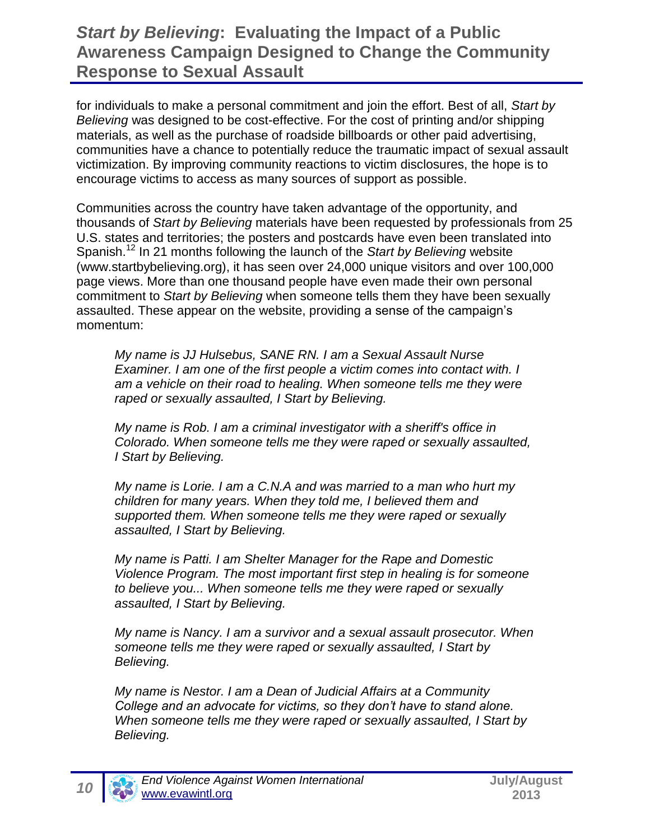for individuals to make a personal commitment and join the effort. Best of all, *Start by Believing* was designed to be cost-effective. For the cost of printing and/or shipping materials, as well as the purchase of roadside billboards or other paid advertising, communities have a chance to potentially reduce the traumatic impact of sexual assault victimization. By improving community reactions to victim disclosures, the hope is to encourage victims to access as many sources of support as possible.

Communities across the country have taken advantage of the opportunity, and thousands of *Start by Believing* materials have been requested by professionals from 25 U.S. states and territories; the posters and postcards have even been translated into Spanish.<sup>12</sup> In 21 months following the launch of the *Start by Believing* website (www.startbybelieving.org), it has seen over 24,000 unique visitors and over 100,000 page views. More than one thousand people have even made their own personal commitment to *Start by Believing* when someone tells them they have been sexually assaulted. These appear on the website, providing a sense of the campaign's momentum:

*My name is JJ Hulsebus, SANE RN. I am a Sexual Assault Nurse Examiner. I am one of the first people a victim comes into contact with. I am a vehicle on their road to healing. When someone tells me they were raped or sexually assaulted, I Start by Believing.*

*My name is Rob. I am a criminal investigator with a sheriff's office in Colorado. When someone tells me they were raped or sexually assaulted, I Start by Believing.*

*My name is Lorie. I am a C.N.A and was married to a man who hurt my children for many years. When they told me, I believed them and supported them. When someone tells me they were raped or sexually assaulted, I Start by Believing.*

*My name is Patti. I am Shelter Manager for the Rape and Domestic Violence Program. The most important first step in healing is for someone to believe you... When someone tells me they were raped or sexually assaulted, I Start by Believing.*

*My name is Nancy. I am a survivor and a sexual assault prosecutor. When someone tells me they were raped or sexually assaulted, I Start by Believing.*

*My name is Nestor. I am a Dean of Judicial Affairs at a Community College and an advocate for victims, so they don't have to stand alone. When someone tells me they were raped or sexually assaulted, I Start by Believing.*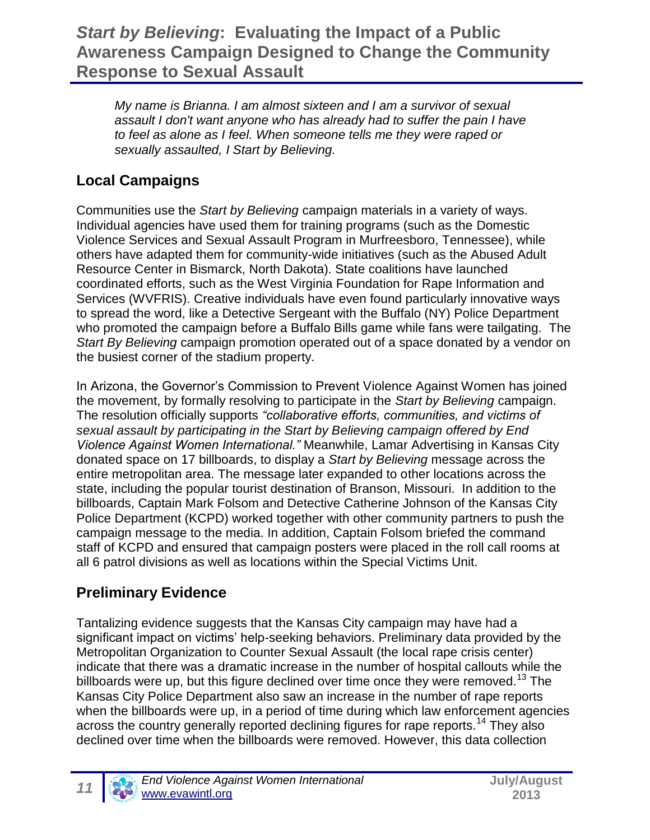*My name is Brianna. I am almost sixteen and I am a survivor of sexual assault I don't want anyone who has already had to suffer the pain I have to feel as alone as I feel. When someone tells me they were raped or sexually assaulted, I Start by Believing.*

# **Local Campaigns**

Communities use the *Start by Believing* campaign materials in a variety of ways. Individual agencies have used them for training programs (such as the Domestic Violence Services and Sexual Assault Program in Murfreesboro, Tennessee), while others have adapted them for community-wide initiatives (such as the Abused Adult Resource Center in Bismarck, North Dakota). State coalitions have launched coordinated efforts, such as the West Virginia Foundation for Rape Information and Services (WVFRIS). Creative individuals have even found particularly innovative ways to spread the word, like a Detective Sergeant with the Buffalo (NY) Police Department who promoted the campaign before a Buffalo Bills game while fans were tailgating. The *Start By Believing* campaign promotion operated out of a space donated by a vendor on the busiest corner of the stadium property.

In Arizona, the Governor's Commission to Prevent Violence Against Women has joined the movement, by formally resolving to participate in the *Start by Believing* campaign. The resolution officially supports *"collaborative efforts, communities, and victims of sexual assault by participating in the Start by Believing campaign offered by End Violence Against Women International."* Meanwhile, Lamar Advertising in Kansas City donated space on 17 billboards, to display a *Start by Believing* message across the entire metropolitan area. The message later expanded to other locations across the state, including the popular tourist destination of Branson, Missouri. In addition to the billboards, Captain Mark Folsom and Detective Catherine Johnson of the Kansas City Police Department (KCPD) worked together with other community partners to push the campaign message to the media. In addition, Captain Folsom briefed the command staff of KCPD and ensured that campaign posters were placed in the roll call rooms at all 6 patrol divisions as well as locations within the Special Victims Unit.

### **Preliminary Evidence**

Tantalizing evidence suggests that the Kansas City campaign may have had a significant impact on victims' help-seeking behaviors. Preliminary data provided by the Metropolitan Organization to Counter Sexual Assault (the local rape crisis center) indicate that there was a dramatic increase in the number of hospital callouts while the billboards were up, but this figure declined over time once they were removed.<sup>13</sup> The Kansas City Police Department also saw an increase in the number of rape reports when the billboards were up, in a period of time during which law enforcement agencies across the country generally reported declining figures for rape reports.<sup>14</sup> They also declined over time when the billboards were removed. However, this data collection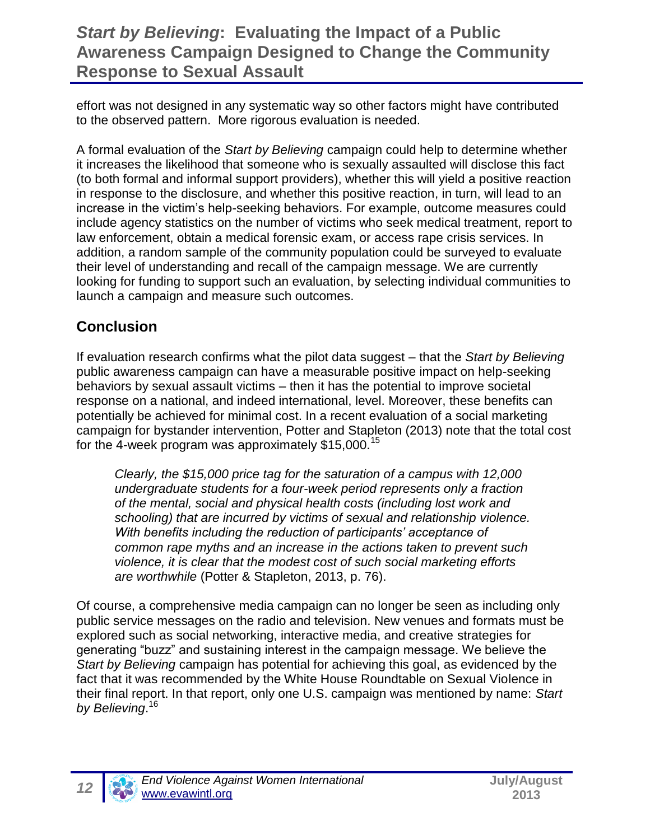effort was not designed in any systematic way so other factors might have contributed to the observed pattern. More rigorous evaluation is needed.

A formal evaluation of the *Start by Believing* campaign could help to determine whether it increases the likelihood that someone who is sexually assaulted will disclose this fact (to both formal and informal support providers), whether this will yield a positive reaction in response to the disclosure, and whether this positive reaction, in turn, will lead to an increase in the victim's help-seeking behaviors. For example, outcome measures could include agency statistics on the number of victims who seek medical treatment, report to law enforcement, obtain a medical forensic exam, or access rape crisis services. In addition, a random sample of the community population could be surveyed to evaluate their level of understanding and recall of the campaign message. We are currently looking for funding to support such an evaluation, by selecting individual communities to launch a campaign and measure such outcomes.

#### **Conclusion**

If evaluation research confirms what the pilot data suggest – that the *Start by Believing* public awareness campaign can have a measurable positive impact on help-seeking behaviors by sexual assault victims – then it has the potential to improve societal response on a national, and indeed international, level. Moreover, these benefits can potentially be achieved for minimal cost. In a recent evaluation of a social marketing campaign for bystander intervention, Potter and Stapleton (2013) note that the total cost for the 4-week program was approximately  $$15,000$ .<sup>15</sup>

*Clearly, the \$15,000 price tag for the saturation of a campus with 12,000 undergraduate students for a four-week period represents only a fraction of the mental, social and physical health costs (including lost work and schooling) that are incurred by victims of sexual and relationship violence. With benefits including the reduction of participants' acceptance of common rape myths and an increase in the actions taken to prevent such violence, it is clear that the modest cost of such social marketing efforts are worthwhile* (Potter & Stapleton, 2013, p. 76).

Of course, a comprehensive media campaign can no longer be seen as including only public service messages on the radio and television. New venues and formats must be explored such as social networking, interactive media, and creative strategies for generating "buzz" and sustaining interest in the campaign message. We believe the *Start by Believing* campaign has potential for achieving this goal, as evidenced by the fact that it was recommended by the White House Roundtable on Sexual Violence in their final report. In that report, only one U.S. campaign was mentioned by name: *Start by Believing*. 16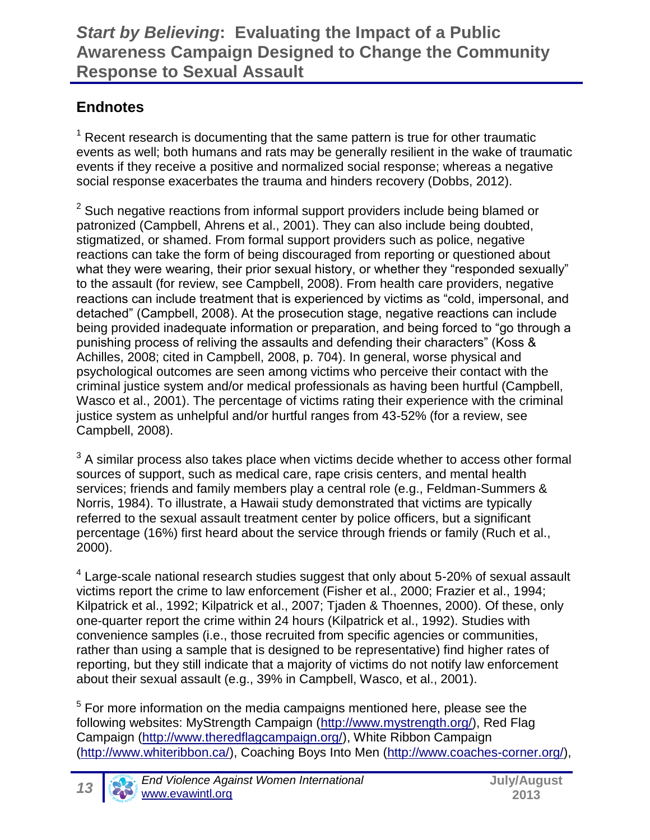#### **Endnotes**

 $1$  Recent research is documenting that the same pattern is true for other traumatic events as well; both humans and rats may be generally resilient in the wake of traumatic events if they receive a positive and normalized social response; whereas a negative social response exacerbates the trauma and hinders recovery (Dobbs, 2012).

 $2$  Such negative reactions from informal support providers include being blamed or patronized (Campbell, Ahrens et al., 2001). They can also include being doubted, stigmatized, or shamed. From formal support providers such as police, negative reactions can take the form of being discouraged from reporting or questioned about what they were wearing, their prior sexual history, or whether they "responded sexually" to the assault (for review, see Campbell, 2008). From health care providers, negative reactions can include treatment that is experienced by victims as "cold, impersonal, and detached" (Campbell, 2008). At the prosecution stage, negative reactions can include being provided inadequate information or preparation, and being forced to "go through a punishing process of reliving the assaults and defending their characters" (Koss & Achilles, 2008; cited in Campbell, 2008, p. 704). In general, worse physical and psychological outcomes are seen among victims who perceive their contact with the criminal justice system and/or medical professionals as having been hurtful (Campbell, Wasco et al., 2001). The percentage of victims rating their experience with the criminal justice system as unhelpful and/or hurtful ranges from 43-52% (for a review, see Campbell, 2008).

 $3$  A similar process also takes place when victims decide whether to access other formal sources of support, such as medical care, rape crisis centers, and mental health services; friends and family members play a central role (e.g., Feldman-Summers & Norris, 1984). To illustrate, a Hawaii study demonstrated that victims are typically referred to the sexual assault treatment center by police officers, but a significant percentage (16%) first heard about the service through friends or family (Ruch et al., 2000).

 $4$  Large-scale national research studies suggest that only about 5-20% of sexual assault victims report the crime to law enforcement (Fisher et al., 2000; Frazier et al., 1994; Kilpatrick et al., 1992; Kilpatrick et al., 2007; Tjaden & Thoennes, 2000). Of these, only one-quarter report the crime within 24 hours (Kilpatrick et al., 1992). Studies with convenience samples (i.e., those recruited from specific agencies or communities, rather than using a sample that is designed to be representative) find higher rates of reporting, but they still indicate that a majority of victims do not notify law enforcement about their sexual assault (e.g., 39% in Campbell, Wasco, et al., 2001).

 $5$  For more information on the media campaigns mentioned here, please see the following websites: MyStrength Campaign [\(http://www.mystrength.org/\)](http://www.mystrength.org/), Red Flag Campaign [\(http://www.theredflagcampaign.org/\)](http://www.theredflagcampaign.org/), White Ribbon Campaign [\(http://www.whiteribbon.ca/\)](http://www.whiteribbon.ca/), Coaching Boys Into Men [\(http://www.coaches-corner.org/\)](http://www.coaches-corner.org/),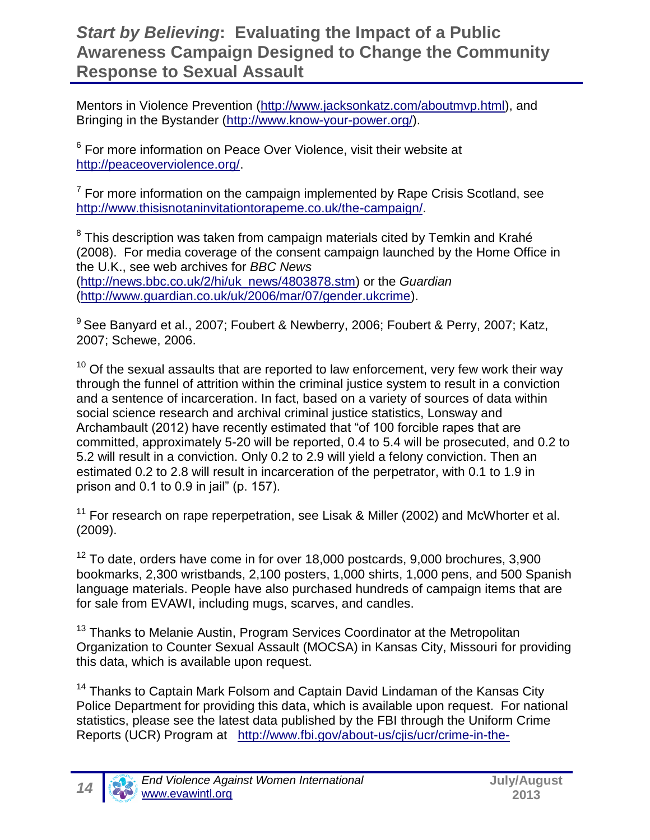Mentors in Violence Prevention [\(http://www.jacksonkatz.com/aboutmvp.html\)](http://www.jacksonkatz.com/aboutmvp.html), and Bringing in the Bystander [\(http://www.know-your-power.org/\)](http://www.know-your-power.org/).

<sup>6</sup> For more information on Peace Over Violence, visit their website at [http://peaceoverviolence.org/.](http://peaceoverviolence.org/)

 $7$  For more information on the campaign implemented by Rape Crisis Scotland, see [http://www.thisisnotaninvitationtorapeme.co.uk/the-campaign/.](http://www.thisisnotaninvitationtorapeme.co.uk/the-campaign/)

 $8$  This description was taken from campaign materials cited by Temkin and Krahé (2008). For media coverage of the consent campaign launched by the Home Office in the U.K., see web archives for *BBC News*  [\(http://news.bbc.co.uk/2/hi/uk\\_news/4803878.stm\)](http://news.bbc.co.uk/2/hi/uk_news/4803878.stm) or the *Guardian*  [\(http://www.guardian.co.uk/uk/2006/mar/07/gender.ukcrime\)](http://www.guardian.co.uk/uk/2006/mar/07/gender.ukcrime).

<sup>9</sup> See Banyard et al., 2007; Foubert & Newberry, 2006; Foubert & Perry, 2007; Katz, 2007; Schewe, 2006.

 $10$  Of the sexual assaults that are reported to law enforcement, very few work their way through the funnel of attrition within the criminal justice system to result in a conviction and a sentence of incarceration. In fact, based on a variety of sources of data within social science research and archival criminal justice statistics, Lonsway and Archambault (2012) have recently estimated that "of 100 forcible rapes that are committed, approximately 5-20 will be reported, 0.4 to 5.4 will be prosecuted, and 0.2 to 5.2 will result in a conviction. Only 0.2 to 2.9 will yield a felony conviction. Then an estimated 0.2 to 2.8 will result in incarceration of the perpetrator, with 0.1 to 1.9 in prison and 0.1 to 0.9 in jail" (p. 157).

 $11$  For research on rape reperpetration, see Lisak & Miller (2002) and McWhorter et al. (2009).

 $12$  To date, orders have come in for over 18,000 postcards, 9,000 brochures, 3,900 bookmarks, 2,300 wristbands, 2,100 posters, 1,000 shirts, 1,000 pens, and 500 Spanish language materials. People have also purchased hundreds of campaign items that are for sale from EVAWI, including mugs, scarves, and candles.

<sup>13</sup> Thanks to Melanie Austin, Program Services Coordinator at the Metropolitan Organization to Counter Sexual Assault (MOCSA) in Kansas City, Missouri for providing this data, which is available upon request.

<sup>14</sup> Thanks to Captain Mark Folsom and Captain David Lindaman of the Kansas City Police Department for providing this data, which is available upon request. For national statistics, please see the latest data published by the FBI through the Uniform Crime Reports (UCR) Program at [http://www.fbi.gov/about-us/cjis/ucr/crime-in-the-](http://www.fbi.gov/about-us/cjis/ucr/crime-in-the-u.s/2011/crime-in-the-u.s.-2011/tables/table_12_crime_trends_by_population_group_2010-2011.xls)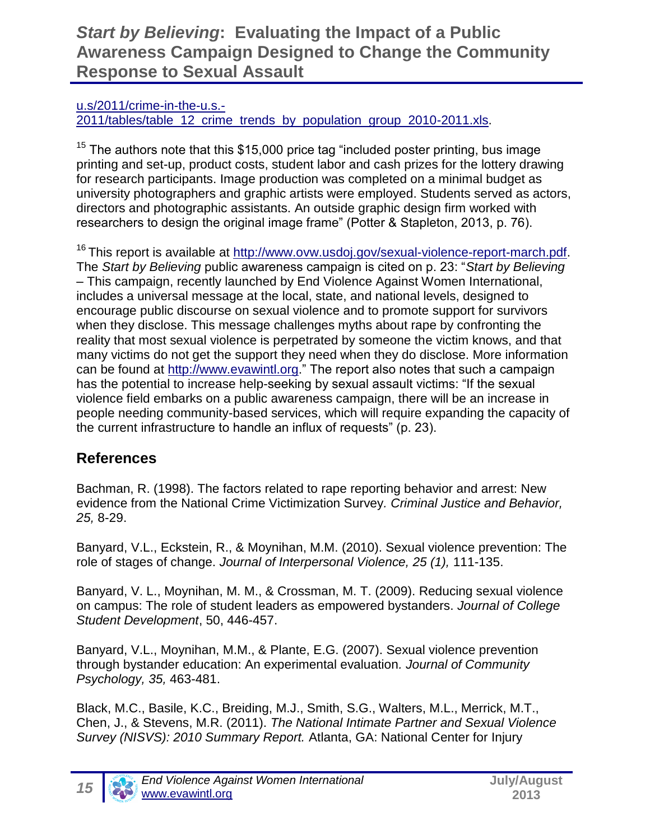#### [u.s/2011/crime-in-the-u.s.-](http://www.fbi.gov/about-us/cjis/ucr/crime-in-the-u.s/2011/crime-in-the-u.s.-2011/tables/table_12_crime_trends_by_population_group_2010-2011.xls)

[2011/tables/table\\_12\\_crime\\_trends\\_by\\_population\\_group\\_2010-2011.xls.](http://www.fbi.gov/about-us/cjis/ucr/crime-in-the-u.s/2011/crime-in-the-u.s.-2011/tables/table_12_crime_trends_by_population_group_2010-2011.xls)

 $15$  The authors note that this \$15,000 price tag "included poster printing, bus image printing and set-up, product costs, student labor and cash prizes for the lottery drawing for research participants. Image production was completed on a minimal budget as university photographers and graphic artists were employed. Students served as actors, directors and photographic assistants. An outside graphic design firm worked with researchers to design the original image frame" (Potter & Stapleton, 2013, p. 76).

<sup>16</sup> This report is available at [http://www.ovw.usdoj.gov/sexual-violence-report-march.pdf.](http://www.ovw.usdoj.gov/sexual-violence-report-march.pdf) The *Start by Believing* public awareness campaign is cited on p. 23: "*Start by Believing*  – This campaign, recently launched by End Violence Against Women International, includes a universal message at the local, state, and national levels, designed to encourage public discourse on sexual violence and to promote support for survivors when they disclose. This message challenges myths about rape by confronting the reality that most sexual violence is perpetrated by someone the victim knows, and that many victims do not get the support they need when they do disclose. More information can be found at [http://www.evawintl.org.](http://www.evawintl.org/)" The report also notes that such a campaign has the potential to increase help-seeking by sexual assault victims: "If the sexual violence field embarks on a public awareness campaign, there will be an increase in people needing community-based services, which will require expanding the capacity of the current infrastructure to handle an influx of requests" (p. 23).

#### **References**

Bachman, R. (1998). The factors related to rape reporting behavior and arrest: New evidence from the National Crime Victimization Survey*. Criminal Justice and Behavior, 25,* 8-29.

Banyard, V.L., Eckstein, R., & Moynihan, M.M. (2010). Sexual violence prevention: The role of stages of change. *Journal of Interpersonal Violence, 25 (1),* 111-135.

Banyard, V. L., Moynihan, M. M., & Crossman, M. T. (2009). Reducing sexual violence on campus: The role of student leaders as empowered bystanders. *Journal of College Student Development*, 50, 446-457.

Banyard, V.L., Moynihan, M.M., & Plante, E.G. (2007). Sexual violence prevention through bystander education: An experimental evaluation*. Journal of Community Psychology, 35,* 463-481.

Black, M.C., Basile, K.C., Breiding, M.J., Smith, S.G., Walters, M.L., Merrick, M.T., Chen, J., & Stevens, M.R. (2011). *The National Intimate Partner and Sexual Violence Survey (NISVS): 2010 Summary Report.* Atlanta, GA: National Center for Injury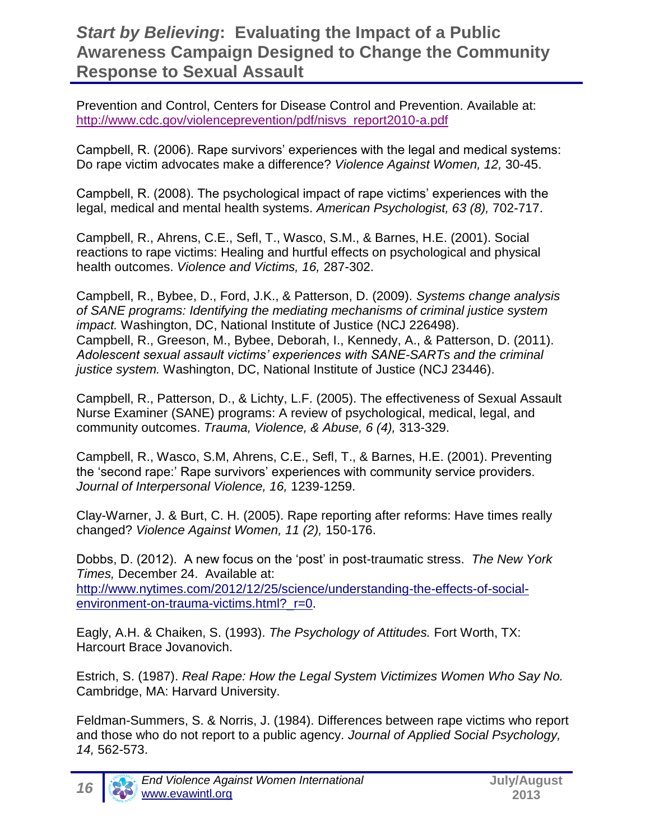Prevention and Control, Centers for Disease Control and Prevention. Available at: [http://www.cdc.gov/violenceprevention/pdf/nisvs\\_report2010-a.pdf](http://www.cdc.gov/violenceprevention/pdf/nisvs_report2010-a.pdf)

Campbell, R. (2006). Rape survivors' experiences with the legal and medical systems: Do rape victim advocates make a difference? *Violence Against Women, 12,* 30-45.

Campbell, R. (2008). The psychological impact of rape victims' experiences with the legal, medical and mental health systems. *American Psychologist, 63 (8),* 702-717.

Campbell, R., Ahrens, C.E., Sefl, T., Wasco, S.M., & Barnes, H.E. (2001). Social reactions to rape victims: Healing and hurtful effects on psychological and physical health outcomes. *Violence and Victims, 16,* 287-302.

Campbell, R., Bybee, D., Ford, J.K., & Patterson, D. (2009). *Systems change analysis of SANE programs: Identifying the mediating mechanisms of criminal justice system impact.* Washington, DC, National Institute of Justice (NCJ 226498). Campbell, R., Greeson, M., Bybee, Deborah, I., Kennedy, A., & Patterson, D. (2011). *Adolescent sexual assault victims' experiences with SANE-SARTs and the criminal justice system.* Washington, DC, National Institute of Justice (NCJ 23446).

Campbell, R., Patterson, D., & Lichty, L.F. (2005). The effectiveness of Sexual Assault Nurse Examiner (SANE) programs: A review of psychological, medical, legal, and community outcomes. *Trauma, Violence, & Abuse, 6 (4),* 313-329.

Campbell, R., Wasco, S.M, Ahrens, C.E., Sefl, T., & Barnes, H.E. (2001). Preventing the 'second rape:' Rape survivors' experiences with community service providers. *Journal of Interpersonal Violence, 16,* 1239-1259.

Clay-Warner, J. & Burt, C. H. (2005). Rape reporting after reforms: Have times really changed? *Violence Against Women, 11 (2),* 150-176.

Dobbs, D. (2012). A new focus on the 'post' in post-traumatic stress. *The New York Times,* December 24. Available at:

[http://www.nytimes.com/2012/12/25/science/understanding-the-effects-of-social](http://www.nytimes.com/2012/12/25/science/understanding-the-effects-of-social-environment-on-trauma-victims.html?_r=0)environment-on-trauma-victims.html? r=0.

Eagly, A.H. & Chaiken, S. (1993). *The Psychology of Attitudes.* Fort Worth, TX: Harcourt Brace Jovanovich.

Estrich, S. (1987). *Real Rape: How the Legal System Victimizes Women Who Say No.* Cambridge, MA: Harvard University.

Feldman-Summers, S. & Norris, J. (1984). Differences between rape victims who report and those who do not report to a public agency. *Journal of Applied Social Psychology, 14,* 562-573.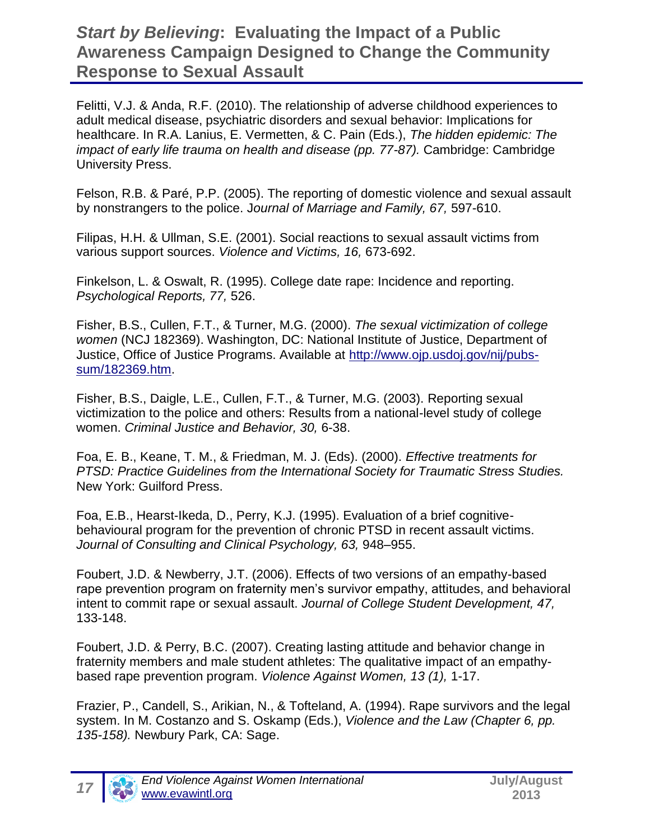Felitti, V.J. & Anda, R.F. (2010). The relationship of adverse childhood experiences to adult medical disease, psychiatric disorders and sexual behavior: Implications for healthcare. In R.A. Lanius, E. Vermetten, & C. Pain (Eds.), *The hidden epidemic: The impact of early life trauma on health and disease (pp. 77-87).* Cambridge: Cambridge University Press.

Felson, R.B. & Paré, P.P. (2005). The reporting of domestic violence and sexual assault by nonstrangers to the police. J*ournal of Marriage and Family, 67,* 597-610.

Filipas, H.H. & Ullman, S.E. (2001). Social reactions to sexual assault victims from various support sources. *Violence and Victims, 16,* 673-692.

Finkelson, L. & Oswalt, R. (1995). College date rape: Incidence and reporting. *Psychological Reports, 77,* 526.

Fisher, B.S., Cullen, F.T., & Turner, M.G. (2000). *The sexual victimization of college women* (NCJ 182369). Washington, DC: National Institute of Justice, Department of Justice, Office of Justice Programs. Available at [http://www.ojp.usdoj.gov/nij/pubs](http://www.ojp.usdoj.gov/nij/pubs-sum/182369.htm)[sum/182369.htm.](http://www.ojp.usdoj.gov/nij/pubs-sum/182369.htm)

Fisher, B.S., Daigle, L.E., Cullen, F.T., & Turner, M.G. (2003). Reporting sexual victimization to the police and others: Results from a national-level study of college women. *Criminal Justice and Behavior, 30,* 6-38.

Foa, E. B., Keane, T. M., & Friedman, M. J. (Eds). (2000). *Effective treatments for PTSD: Practice Guidelines from the International Society for Traumatic Stress Studies.*  New York: Guilford Press.

Foa, E.B., Hearst-Ikeda, D., Perry, K.J. (1995). Evaluation of a brief cognitivebehavioural program for the prevention of chronic PTSD in recent assault victims. *Journal of Consulting and Clinical Psychology, 63,* 948–955.

Foubert, J.D. & Newberry, J.T. (2006). Effects of two versions of an empathy-based rape prevention program on fraternity men's survivor empathy, attitudes, and behavioral intent to commit rape or sexual assault. *Journal of College Student Development, 47,* 133-148.

Foubert, J.D. & Perry, B.C. (2007). Creating lasting attitude and behavior change in fraternity members and male student athletes: The qualitative impact of an empathybased rape prevention program. *Violence Against Women, 13 (1),* 1-17.

Frazier, P., Candell, S., Arikian, N., & Tofteland, A. (1994). Rape survivors and the legal system. In M. Costanzo and S. Oskamp (Eds.), *Violence and the Law (Chapter 6, pp. 135-158).* Newbury Park, CA: Sage.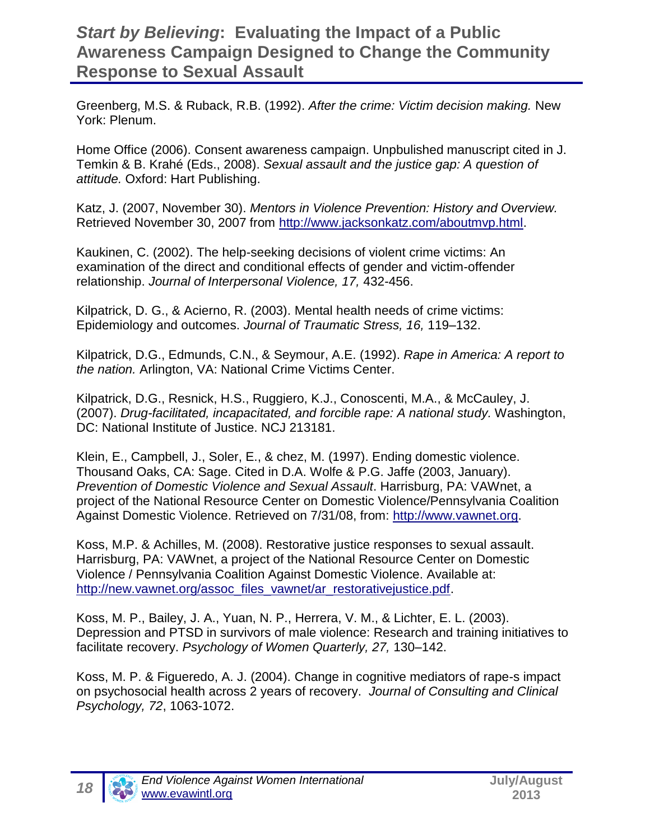Greenberg, M.S. & Ruback, R.B. (1992). *After the crime: Victim decision making.* New York: Plenum.

Home Office (2006). Consent awareness campaign. Unpbulished manuscript cited in J. Temkin & B. Krahé (Eds., 2008). *Sexual assault and the justice gap: A question of attitude.* Oxford: Hart Publishing.

Katz, J. (2007, November 30). *Mentors in Violence Prevention: History and Overview.*  Retrieved November 30, 2007 from [http://www.jacksonkatz.com/aboutmvp.html.](http://www.jacksonkatz.com/aboutmvp.html)

Kaukinen, C. (2002). The help-seeking decisions of violent crime victims: An examination of the direct and conditional effects of gender and victim-offender relationship. *Journal of Interpersonal Violence, 17,* 432-456.

Kilpatrick, D. G., & Acierno, R. (2003). Mental health needs of crime victims: Epidemiology and outcomes. *Journal of Traumatic Stress, 16,* 119–132.

Kilpatrick, D.G., Edmunds, C.N., & Seymour, A.E. (1992). *Rape in America: A report to the nation.* Arlington, VA: National Crime Victims Center.

Kilpatrick, D.G., Resnick, H.S., Ruggiero, K.J., Conoscenti, M.A., & McCauley, J. (2007). *Drug-facilitated, incapacitated, and forcible rape: A national study.* Washington, DC: National Institute of Justice. NCJ 213181.

Klein, E., Campbell, J., Soler, E., & chez, M. (1997). Ending domestic violence. Thousand Oaks, CA: Sage. Cited in D.A. Wolfe & P.G. Jaffe (2003, January). *Prevention of Domestic Violence and Sexual Assault*. Harrisburg, PA: VAWnet, a project of the National Resource Center on Domestic Violence/Pennsylvania Coalition Against Domestic Violence. Retrieved on 7/31/08, from: [http://www.vawnet.org.](http://www.vawnet.org/)

Koss, M.P. & Achilles, M. (2008). Restorative justice responses to sexual assault. Harrisburg, PA: VAWnet, a project of the National Resource Center on Domestic Violence / Pennsylvania Coalition Against Domestic Violence. Available at: [http://new.vawnet.org/assoc\\_files\\_vawnet/ar\\_restorativejustice.pdf.](http://new.vawnet.org/assoc_files_vawnet/ar_restorativejustice.pdf)

Koss, M. P., Bailey, J. A., Yuan, N. P., Herrera, V. M., & Lichter, E. L. (2003). Depression and PTSD in survivors of male violence: Research and training initiatives to facilitate recovery. *Psychology of Women Quarterly, 27,* 130–142.

Koss, M. P. & Figueredo, A. J. (2004). Change in cognitive mediators of rape-s impact on psychosocial health across 2 years of recovery. *Journal of Consulting and Clinical Psychology, 72*, 1063-1072.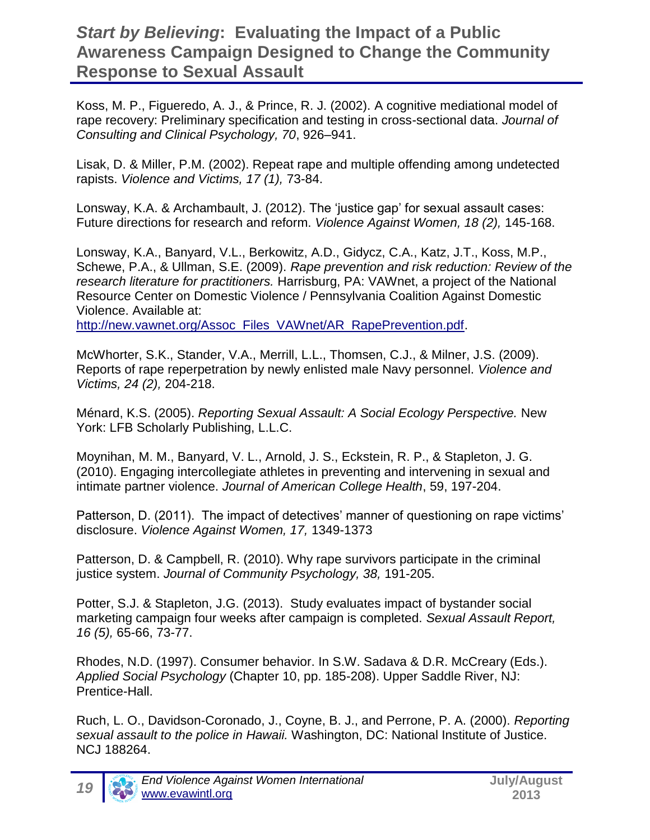Koss, M. P., Figueredo, A. J., & Prince, R. J. (2002). A cognitive mediational model of rape recovery: Preliminary specification and testing in cross-sectional data. *Journal of Consulting and Clinical Psychology, 70*, 926–941.

Lisak, D. & Miller, P.M. (2002). Repeat rape and multiple offending among undetected rapists. *Violence and Victims, 17 (1),* 73-84.

Lonsway, K.A. & Archambault, J. (2012). The 'justice gap' for sexual assault cases: Future directions for research and reform. *Violence Against Women, 18 (2),* 145-168.

Lonsway, K.A., Banyard, V.L., Berkowitz, A.D., Gidycz, C.A., Katz, J.T., Koss, M.P., Schewe, P.A., & Ullman, S.E. (2009). *Rape prevention and risk reduction: Review of the research literature for practitioners.* Harrisburg, PA: VAWnet, a project of the National Resource Center on Domestic Violence / Pennsylvania Coalition Against Domestic Violence. Available at:

[http://new.vawnet.org/Assoc\\_Files\\_VAWnet/AR\\_RapePrevention.pdf.](http://new.vawnet.org/Assoc_Files_VAWnet/AR_RapePrevention.pdf)

McWhorter, S.K., Stander, V.A., Merrill, L.L., Thomsen, C.J., & Milner, J.S. (2009). Reports of rape reperpetration by newly enlisted male Navy personnel. *Violence and Victims, 24 (2),* 204-218.

Ménard, K.S. (2005). *Reporting Sexual Assault: A Social Ecology Perspective.* New York: LFB Scholarly Publishing, L.L.C.

Moynihan, M. M., Banyard, V. L., Arnold, J. S., Eckstein, R. P., & Stapleton, J. G. (2010). Engaging intercollegiate athletes in preventing and intervening in sexual and intimate partner violence. *Journal of American College Health*, 59, 197-204.

Patterson, D. (2011). The impact of detectives' manner of questioning on rape victims' disclosure. *Violence Against Women, 17,* 1349-1373

Patterson, D. & Campbell, R. (2010). Why rape survivors participate in the criminal justice system. *Journal of Community Psychology, 38,* 191-205.

Potter, S.J. & Stapleton, J.G. (2013). Study evaluates impact of bystander social marketing campaign four weeks after campaign is completed. *Sexual Assault Report, 16 (5),* 65-66, 73-77.

Rhodes, N.D. (1997). Consumer behavior. In S.W. Sadava & D.R. McCreary (Eds.). *Applied Social Psychology* (Chapter 10, pp. 185-208). Upper Saddle River, NJ: Prentice-Hall.

Ruch, L. O., Davidson-Coronado, J., Coyne, B. J., and Perrone, P. A. (2000). *Reporting sexual assault to the police in Hawaii.* Washington, DC: National Institute of Justice. NCJ 188264.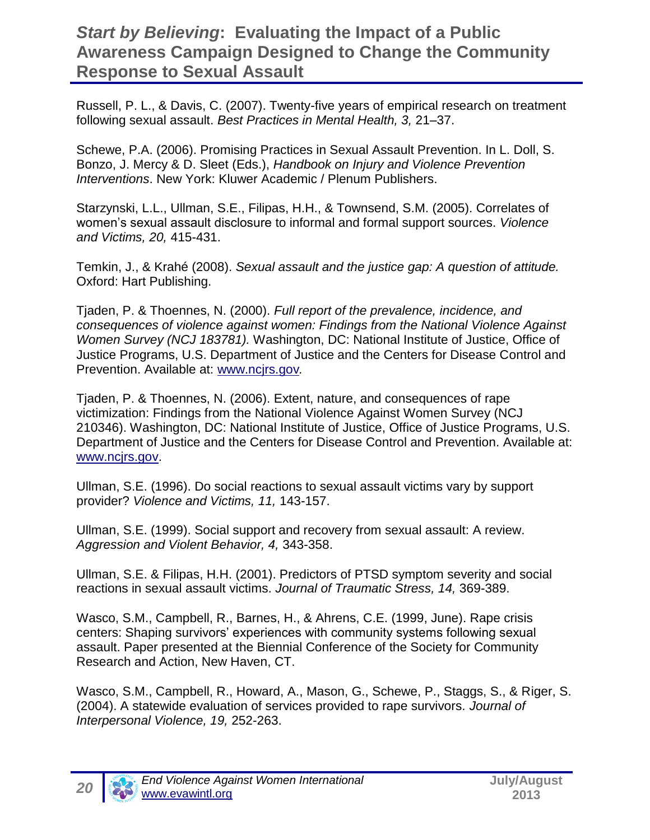Russell, P. L., & Davis, C. (2007). Twenty-five years of empirical research on treatment following sexual assault. *Best Practices in Mental Health, 3,* 21–37.

Schewe, P.A. (2006). Promising Practices in Sexual Assault Prevention. In L. Doll, S. Bonzo, J. Mercy & D. Sleet (Eds.), *Handbook on Injury and Violence Prevention Interventions*. New York: Kluwer Academic / Plenum Publishers.

Starzynski, L.L., Ullman, S.E., Filipas, H.H., & Townsend, S.M. (2005). Correlates of women's sexual assault disclosure to informal and formal support sources. *Violence and Victims, 20,* 415-431.

Temkin, J., & Krahé (2008). *Sexual assault and the justice gap: A question of attitude.*  Oxford: Hart Publishing.

Tjaden, P. & Thoennes, N. (2000). *Full report of the prevalence, incidence, and consequences of violence against women: Findings from the National Violence Against Women Survey (NCJ 183781).* Washington, DC: National Institute of Justice, Office of Justice Programs, U.S. Department of Justice and the Centers for Disease Control and Prevention. Available at: [www.ncjrs.gov](http://www.ncjrs.gov/)*.*

Tjaden, P. & Thoennes, N. (2006). Extent, nature, and consequences of rape victimization: Findings from the National Violence Against Women Survey (NCJ 210346). Washington, DC: National Institute of Justice, Office of Justice Programs, U.S. Department of Justice and the Centers for Disease Control and Prevention. Available at: [www.ncjrs.gov.](http://www.ncjrs.gov/)

Ullman, S.E. (1996). Do social reactions to sexual assault victims vary by support provider? *Violence and Victims, 11,* 143-157.

Ullman, S.E. (1999). Social support and recovery from sexual assault: A review. *Aggression and Violent Behavior, 4,* 343-358.

Ullman, S.E. & Filipas, H.H. (2001). Predictors of PTSD symptom severity and social reactions in sexual assault victims. *Journal of Traumatic Stress, 14,* 369-389.

Wasco, S.M., Campbell, R., Barnes, H., & Ahrens, C.E. (1999, June). Rape crisis centers: Shaping survivors' experiences with community systems following sexual assault. Paper presented at the Biennial Conference of the Society for Community Research and Action, New Haven, CT.

Wasco, S.M., Campbell, R., Howard, A., Mason, G., Schewe, P., Staggs, S., & Riger, S. (2004). A statewide evaluation of services provided to rape survivors. *Journal of Interpersonal Violence, 19,* 252-263.